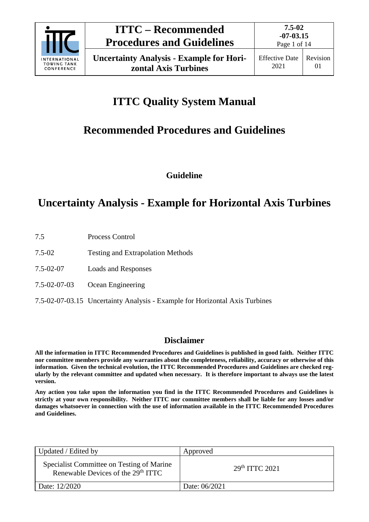

# **ITTC Quality System Manual**

# **Recommended Procedures and Guidelines**

**Guideline**

## **Uncertainty Analysis - Example for Horizontal Axis Turbines**

- 7.5 Process Control
- 7.5-02 Testing and Extrapolation Methods
- 7.5-02-07 Loads and Responses
- 7.5-02-07-03 Ocean Engineering
- 7.5-02-07-03.15 Uncertainty Analysis Example for Horizontal Axis Turbines

## **Disclaimer**

**All the information in ITTC Recommended Procedures and Guidelines is published in good faith. Neither ITTC nor committee members provide any warranties about the completeness, reliability, accuracy or otherwise of this information. Given the technical evolution, the ITTC Recommended Procedures and Guidelines are checked regularly by the relevant committee and updated when necessary. It is therefore important to always use the latest version.**

**Any action you take upon the information you find in the ITTC Recommended Procedures and Guidelines is strictly at your own responsibility. Neither ITTC nor committee members shall be liable for any losses and/or damages whatsoever in connection with the use of information available in the ITTC Recommended Procedures and Guidelines.**

| Updated / Edited by                                                                         | Approved                  |
|---------------------------------------------------------------------------------------------|---------------------------|
| Specialist Committee on Testing of Marine<br>Renewable Devices of the 29 <sup>th</sup> ITTC | 29 <sup>th</sup> TTC 2021 |
| Date: 12/2020                                                                               | Date: 06/2021             |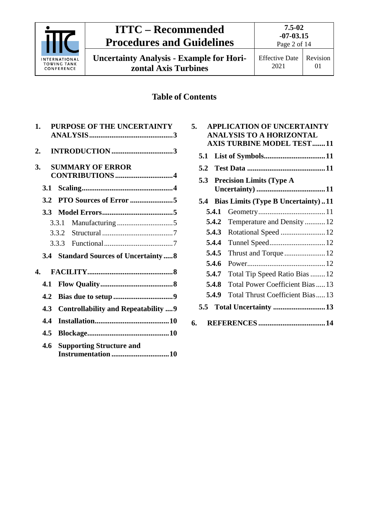| <b>ITTC - Recommended</b><br><b>Procedures and Guidelines</b> |                                                                         | $7.5 - 02$<br>$-07 - 03.15$<br>Page 2 of 14 |                               |                                                                                                   |  |
|---------------------------------------------------------------|-------------------------------------------------------------------------|---------------------------------------------|-------------------------------|---------------------------------------------------------------------------------------------------|--|
| ERNATIONAL<br><b>TOWING TANK</b><br>CONFERENCE                | <b>Uncertainty Analysis - Example for Hori-</b><br>zontal Axis Turbines |                                             | <b>Effective Date</b><br>2021 | Revision<br>01                                                                                    |  |
|                                                               |                                                                         | <b>Table of Contents</b>                    |                               |                                                                                                   |  |
| 1.                                                            | PURPOSE OF THE UNCERTAINTY                                              | 5.                                          |                               | <b>APPLICATION OF UNCERTAINTY</b><br>ANALYSIS TO A HORIZONTAL<br><b>AXIS TURBINE MODEL TEST11</b> |  |
| 2.<br>3.                                                      | <b>SUMMARY OF ERROR</b>                                                 | 5.2                                         |                               | <b>5.3 Precision Limits (Type A)</b>                                                              |  |
| 3.1<br>3.2                                                    |                                                                         |                                             |                               | 5.4 Bias Limits (Type B Uncertainty)11                                                            |  |
| 3.3                                                           |                                                                         | 5.4.1                                       |                               |                                                                                                   |  |
| 3.3.1<br>3.3.2                                                |                                                                         | 5.4.2<br>5.4.3                              |                               | Temperature and Density12<br>Rotational Speed  12                                                 |  |
| 3.3.3                                                         |                                                                         | 5.4.4                                       |                               |                                                                                                   |  |
|                                                               | 3.4 Standard Sources of Uncertainty  8                                  | 5.4.5<br>5.4.6                              |                               | Thrust and Torque12                                                                               |  |
| 4.                                                            |                                                                         | 5.4.7                                       |                               | Total Tip Speed Ratio Bias  12                                                                    |  |
| 4.1                                                           |                                                                         | 5.4.8<br>5.4.9                              |                               | Total Power Coefficient Bias  13<br>Total Thrust Coefficient Bias  13                             |  |
| 4.3                                                           | <b>Controllability and Repeatability  9</b>                             | 5.5                                         |                               | Total Uncertainty 13                                                                              |  |
| 4.4                                                           |                                                                         | 6.                                          |                               |                                                                                                   |  |
| 4.5                                                           |                                                                         |                                             |                               |                                                                                                   |  |
| 4.6                                                           | <b>Supporting Structure and</b>                                         |                                             |                               |                                                                                                   |  |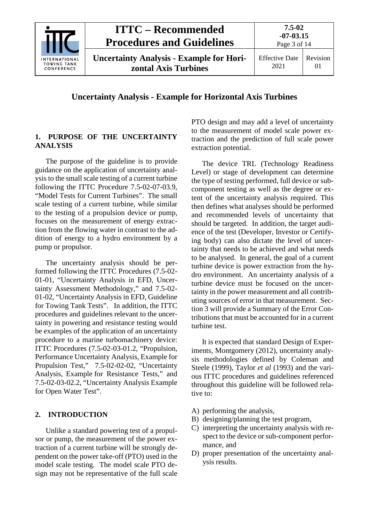

**Uncertainty Analysis - Example for Horizontal Axis Turbines**

#### **1. PURPOSE OF THE UNCERTAINTY ANALYSIS**

The purpose of the guideline is to provide guidance on the application of uncertainty analysis to the small scale testing of a current turbine following the ITTC Procedure 7.5-02-07-03.9, "Model Tests for Current Turbines". The small scale testing of a current turbine, while similar to the testing of a propulsion device or pump, focuses on the measurement of energy extraction from the flowing water in contrast to the addition of energy to a hydro environment by a pump or propulsor.

The uncertainty analysis should be performed following the ITTC Procedures (7.5-02- 01-01, "Uncertainty Analysis in EFD, Uncertainty Assessment Methodology," and 7.5-02- 01-02, "Uncertainty Analysis in EFD, Guideline for Towing Tank Tests". In addition, the ITTC procedures and guidelines relevant to the uncertainty in powering and resistance testing would be examples of the application of an uncertainty procedure to a marine turbomachinery device: ITTC Procedures (7.5-02-03-01.2, "Propulsion, Performance Uncertainty Analysis, Example for Propulsion Test," 7.5-02-02-02, "Uncertainty Analysis, Example for Resistance Tests," and 7.5-02-03-02.2, "Uncertainty Analysis Example for Open Water Test".

#### **2. INTRODUCTION**

Unlike a standard powering test of a propulsor or pump, the measurement of the power extraction of a current turbine will be strongly dependent on the power take-off (PTO) used in the model scale testing. The model scale PTO design may not be representative of the full scale PTO design and may add a level of uncertainty to the measurement of model scale power extraction and the prediction of full scale power extraction potential.

The device TRL (Technology Readiness Level) or stage of development can determine the type of testing performed, full device or subcomponent testing as well as the degree or extent of the uncertainty analysis required. This then defines what analyses should be performed and recommended levels of uncertainty that should be targeted. In addition, the target audience of the test (Developer, Investor or Certifying body) can also dictate the level of uncertainty that needs to be achieved and what needs to be analysed. In general, the goal of a current turbine device is power extraction from the hydro environment. An uncertainty analysis of a turbine device must be focused on the uncertainty in the power measurement and all contributing sources of error in that measurement. Section [3](#page-3-0) will provide a Summary of the Error Contributions that must be accounted for in a current turbine test.

It is expected that standard Design of Experiments, Montgomery (2012), uncertainty analysis methodologies defined by Coleman and Steele (1999), Taylor *et al* (1993) and the various ITTC procedures and guidelines referenced throughout this guideline will be followed relative to:

- A) performing the analysis,
- B) designing/planning the test program,
- C) interpreting the uncertainty analysis with respect to the device or sub-component performance, and
- D) proper presentation of the uncertainty analysis results.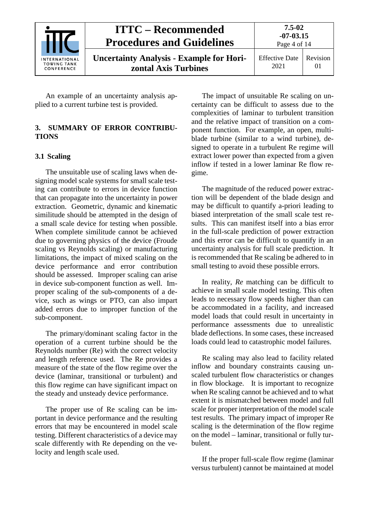|                                                          | <b>ITTC – Recommended</b><br><b>Procedures and Guidelines</b>           | $7.5 - 02$<br>$-07 - 03.15$<br>Page 4 of 14 |                      |
|----------------------------------------------------------|-------------------------------------------------------------------------|---------------------------------------------|----------------------|
| <b>INTERNATIONAL</b><br><b>TOWING TANK</b><br>CONFERENCE | <b>Uncertainty Analysis - Example for Hori-</b><br>zontal Axis Turbines | <b>Effective Date</b><br>2021               | Revision<br>$\Omega$ |

An example of an uncertainty analysis applied to a current turbine test is provided.

#### <span id="page-3-0"></span>**3. SUMMARY OF ERROR CONTRIBU-TIONS**

#### **3.1 Scaling**

The unsuitable use of scaling laws when designing model scale systems for small scale testing can contribute to errors in device function that can propagate into the uncertainty in power extraction. Geometric, dynamic and kinematic similitude should be attempted in the design of a small scale device for testing when possible. When complete similitude cannot be achieved due to governing physics of the device (Froude scaling vs Reynolds scaling) or manufacturing limitations, the impact of mixed scaling on the device performance and error contribution should be assessed. Improper scaling can arise in device sub-component function as well. Improper scaling of the sub-components of a device, such as wings or PTO, can also impart added errors due to improper function of the sub-component.

The primary/dominant scaling factor in the operation of a current turbine should be the Reynolds number (Re) with the correct velocity and length reference used. The Re provides a measure of the state of the flow regime over the device (laminar, transitional or turbulent) and this flow regime can have significant impact on the steady and unsteady device performance.

The proper use of Re scaling can be important in device performance and the resulting errors that may be encountered in model scale testing. Different characteristics of a device may scale differently with Re depending on the velocity and length scale used.

The impact of unsuitable Re scaling on uncertainty can be difficult to assess due to the complexities of laminar to turbulent transition and the relative impact of transition on a component function. For example, an open, multiblade turbine (similar to a wind turbine), designed to operate in a turbulent Re regime will extract lower power than expected from a given inflow if tested in a lower laminar Re flow regime.

The magnitude of the reduced power extraction will be dependent of the blade design and may be difficult to quantify a-priori leading to biased interpretation of the small scale test results. This can manifest itself into a bias error in the full-scale prediction of power extraction and this error can be difficult to quantify in an uncertainty analysis for full scale prediction. It is recommended that Re scaling be adhered to in small testing to avoid these possible errors.

In reality, *Re* matching can be difficult to achieve in small scale model testing. This often leads to necessary flow speeds higher than can be accommodated in a facility, and increased model loads that could result in uncertainty in performance assessments due to unrealistic blade deflections. In some cases, these increased loads could lead to catastrophic model failures.

Re scaling may also lead to facility related inflow and boundary constraints causing unscaled turbulent flow characteristics or changes in flow blockage. It is important to recognize when Re scaling cannot be achieved and to what extent it is mismatched between model and full scale for proper interpretation of the model scale test results. The primary impact of improper Re scaling is the determination of the flow regime on the model – laminar, transitional or fully turbulent.

If the proper full-scale flow regime (laminar versus turbulent) cannot be maintained at model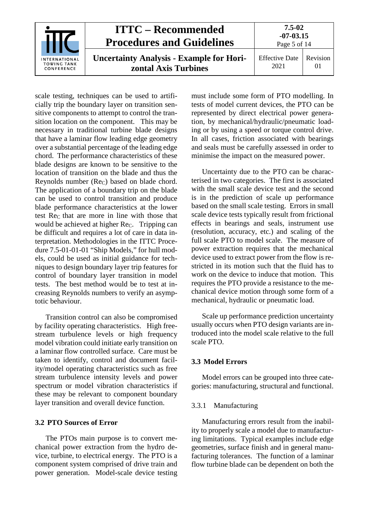| INTERNATIONAL<br><b>TOWING TANK</b><br>CONFERENCE | <b>ITTC – Recommended</b><br><b>Procedures and Guidelines</b>           | $7.5 - 02$<br>$-07 - 03.15$<br>Page 5 of 14 |                |
|---------------------------------------------------|-------------------------------------------------------------------------|---------------------------------------------|----------------|
|                                                   | <b>Uncertainty Analysis - Example for Hori-</b><br>zontal Axis Turbines | <b>Effective Date</b><br>2021               | Revision<br>01 |

scale testing, techniques can be used to artificially trip the boundary layer on transition sensitive components to attempt to control the transition location on the component. This may be necessary in traditional turbine blade designs that have a laminar flow leading edge geometry over a substantial percentage of the leading edge chord. The performance characteristics of these blade designs are known to be sensitive to the location of transition on the blade and thus the Reynolds number (Rec) based on blade chord. The application of a boundary trip on the blade can be used to control transition and produce blade performance characteristics at the lower test Re<sub>C</sub> that are more in line with those that would be achieved at higher Re<sub>C</sub>. Tripping can be difficult and requires a lot of care in data interpretation. Methodologies in the ITTC Procedure 7.5-01-01-01 "Ship Models," for hull models, could be used as initial guidance for techniques to design boundary layer trip features for control of boundary layer transition in model tests. The best method would be to test at increasing Reynolds numbers to verify an asymptotic behaviour.

Transition control can also be compromised by facility operating characteristics. High freestream turbulence levels or high frequency model vibration could initiate early transition on a laminar flow controlled surface. Care must be taken to identify, control and document facility/model operating characteristics such as free stream turbulence intensity levels and power spectrum or model vibration characteristics if these may be relevant to component boundary layer transition and overall device function.

#### **3.2 PTO Sources of Error**

The PTOs main purpose is to convert mechanical power extraction from the hydro device, turbine, to electrical energy. The PTO is a component system comprised of drive train and power generation. Model-scale device testing must include some form of PTO modelling. In tests of model current devices, the PTO can be represented by direct electrical power generation, by mechanical/hydraulic/pneumatic loading or by using a speed or torque control drive. In all cases, friction associated with bearings and seals must be carefully assessed in order to minimise the impact on the measured power.

Uncertainty due to the PTO can be characterised in two categories. The first is associated with the small scale device test and the second is in the prediction of scale up performance based on the small scale testing. Errors in small scale device tests typically result from frictional effects in bearings and seals, instrument use (resolution, accuracy, etc.) and scaling of the full scale PTO to model scale. The measure of power extraction requires that the mechanical device used to extract power from the flow is restricted in its motion such that the fluid has to work on the device to induce that motion. This requires the PTO provide a resistance to the mechanical device motion through some form of a mechanical, hydraulic or pneumatic load.

Scale up performance prediction uncertainty usually occurs when PTO design variants are introduced into the model scale relative to the full scale PTO.

#### **3.3 Model Errors**

Model errors can be grouped into three categories: manufacturing, structural and functional.

#### 3.3.1 Manufacturing

Manufacturing errors result from the inability to properly scale a model due to manufacturing limitations. Typical examples include edge geometries, surface finish and in general manufacturing tolerances. The function of a laminar flow turbine blade can be dependent on both the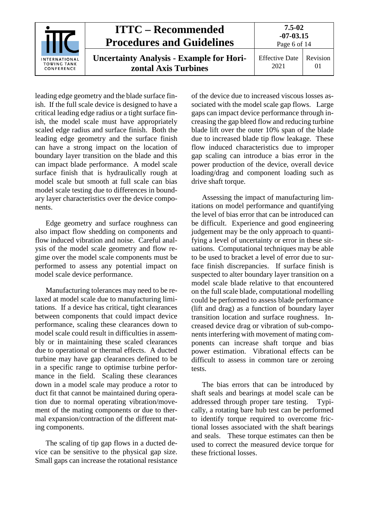| <b>INTERNATIONAL</b><br><b>TOWING TANK</b><br>CONFERENCE | <b>ITTC – Recommended</b><br><b>Procedures and Guidelines</b>           | 7.5-02<br>$-07 - 03.15$<br>Page 6 of 14 |                |
|----------------------------------------------------------|-------------------------------------------------------------------------|-----------------------------------------|----------------|
|                                                          | <b>Uncertainty Analysis - Example for Hori-</b><br>zontal Axis Turbines | <b>Effective Date</b><br>2021           | Revision<br>01 |

leading edge geometry and the blade surface finish. If the full scale device is designed to have a critical leading edge radius or a tight surface finish, the model scale must have appropriately scaled edge radius and surface finish. Both the leading edge geometry and the surface finish can have a strong impact on the location of boundary layer transition on the blade and this can impact blade performance. A model scale surface finish that is hydraulically rough at model scale but smooth at full scale can bias model scale testing due to differences in boundary layer characteristics over the device components.

Edge geometry and surface roughness can also impact flow shedding on components and flow induced vibration and noise. Careful analysis of the model scale geometry and flow regime over the model scale components must be performed to assess any potential impact on model scale device performance.

Manufacturing tolerances may need to be relaxed at model scale due to manufacturing limitations. If a device has critical, tight clearances between components that could impact device performance, scaling these clearances down to model scale could result in difficulties in assembly or in maintaining these scaled clearances due to operational or thermal effects. A ducted turbine may have gap clearances defined to be in a specific range to optimise turbine performance in the field. Scaling these clearances down in a model scale may produce a rotor to duct fit that cannot be maintained during operation due to normal operating vibration/movement of the mating components or due to thermal expansion/contraction of the different mating components.

The scaling of tip gap flows in a ducted device can be sensitive to the physical gap size. Small gaps can increase the rotational resistance of the device due to increased viscous losses associated with the model scale gap flows. Large gaps can impact device performance through increasing the gap bleed flow and reducing turbine blade lift over the outer 10% span of the blade due to increased blade tip flow leakage. These flow induced characteristics due to improper gap scaling can introduce a bias error in the power production of the device, overall device loading/drag and component loading such as drive shaft torque.

Assessing the impact of manufacturing limitations on model performance and quantifying the level of bias error that can be introduced can be difficult. Experience and good engineering judgement may be the only approach to quantifying a level of uncertainty or error in these situations. Computational techniques may be able to be used to bracket a level of error due to surface finish discrepancies. If surface finish is suspected to alter boundary layer transition on a model scale blade relative to that encountered on the full scale blade, computational modelling could be performed to assess blade performance (lift and drag) as a function of boundary layer transition location and surface roughness. Increased device drag or vibration of sub-components interfering with movement of mating components can increase shaft torque and bias power estimation. Vibrational effects can be difficult to assess in common tare or zeroing tests.

The bias errors that can be introduced by shaft seals and bearings at model scale can be addressed through proper tare testing. Typically, a rotating bare hub test can be performed to identify torque required to overcome frictional losses associated with the shaft bearings and seals. These torque estimates can then be used to correct the measured device torque for these frictional losses.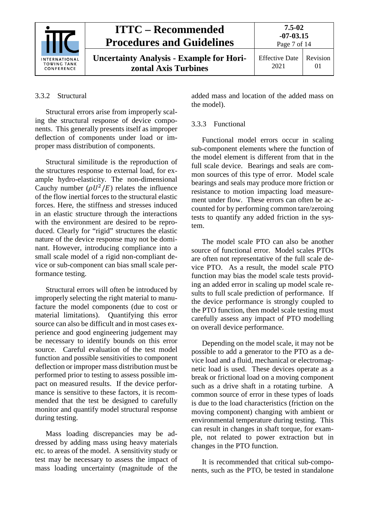|                                                          | <b>ITTC – Recommended</b><br><b>Procedures and Guidelines</b>           |                               | $7.5 - 02$<br>$-07-03.15$<br>Page 7 of 14 |  |
|----------------------------------------------------------|-------------------------------------------------------------------------|-------------------------------|-------------------------------------------|--|
| <b>INTERNATIONAL</b><br><b>TOWING TANK</b><br>CONFERENCE | <b>Uncertainty Analysis - Example for Hori-</b><br>zontal Axis Turbines | <b>Effective Date</b><br>2021 | Revision                                  |  |

#### 3.3.2 Structural

Structural errors arise from improperly scaling the structural response of device components. This generally presents itself as improper deflection of components under load or improper mass distribution of components.

Structural similitude is the reproduction of the structures response to external load, for example hydro-elasticity. The non-dimensional Cauchy number  $(\rho U^2/E)$  relates the influence of the flow inertial forces to the structural elastic forces. Here, the stiffness and stresses induced in an elastic structure through the interactions with the environment are desired to be reproduced. Clearly for "rigid" structures the elastic nature of the device response may not be dominant. However, introducing compliance into a small scale model of a rigid non-compliant device or sub-component can bias small scale performance testing.

Structural errors will often be introduced by improperly selecting the right material to manufacture the model components (due to cost or material limitations). Quantifying this error source can also be difficult and in most cases experience and good engineering judgement may be necessary to identify bounds on this error source. Careful evaluation of the test model function and possible sensitivities to component deflection or improper mass distribution must be performed prior to testing to assess possible impact on measured results. If the device performance is sensitive to these factors, it is recommended that the test be designed to carefully monitor and quantify model structural response during testing.

Mass loading discrepancies may be addressed by adding mass using heavy materials etc. to areas of the model. A sensitivity study or test may be necessary to assess the impact of mass loading uncertainty (magnitude of the added mass and location of the added mass on the model).

#### 3.3.3 Functional

Functional model errors occur in scaling sub-component elements where the function of the model element is different from that in the full scale device. Bearings and seals are common sources of this type of error. Model scale bearings and seals may produce more friction or resistance to motion impacting load measurement under flow. These errors can often be accounted for by performing common tare/zeroing tests to quantify any added friction in the system.

The model scale PTO can also be another source of functional error. Model scales PTOs are often not representative of the full scale device PTO. As a result, the model scale PTO function may bias the model scale tests providing an added error in scaling up model scale results to full scale prediction of performance. If the device performance is strongly coupled to the PTO function, then model scale testing must carefully assess any impact of PTO modelling on overall device performance.

Depending on the model scale, it may not be possible to add a generator to the PTO as a device load and a fluid, mechanical or electromagnetic load is used. These devices operate as a break or frictional load on a moving component such as a drive shaft in a rotating turbine. A common source of error in these types of loads is due to the load characteristics (friction on the moving component) changing with ambient or environmental temperature during testing. This can result in changes in shaft torque, for example, not related to power extraction but in changes in the PTO function.

It is recommended that critical sub-components, such as the PTO, be tested in standalone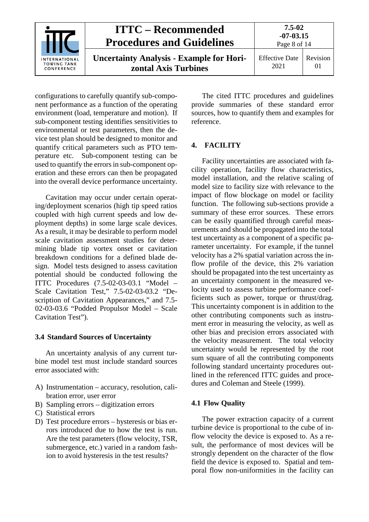| <b>INTERNATIONAL</b><br><b>TOWING TANK</b><br>CONFERENCE | <b>ITTC – Recommended</b><br><b>Procedures and Guidelines</b>           | $7.5 - 02$<br>$-07 - 03.15$<br>Page 8 of 14 |                |
|----------------------------------------------------------|-------------------------------------------------------------------------|---------------------------------------------|----------------|
|                                                          | <b>Uncertainty Analysis - Example for Hori-</b><br>zontal Axis Turbines | <b>Effective Date</b><br>2021               | Revision<br>01 |

configurations to carefully quantify sub-component performance as a function of the operating environment (load, temperature and motion). If sub-component testing identifies sensitivities to environmental or test parameters, then the device test plan should be designed to monitor and quantify critical parameters such as PTO temperature etc. Sub-component testing can be used to quantify the errors in sub-component operation and these errors can then be propagated into the overall device performance uncertainty.

Cavitation may occur under certain operating/deployment scenarios (high tip speed ratios coupled with high current speeds and low deployment depths) in some large scale devices. As a result, it may be desirable to perform model scale cavitation assessment studies for determining blade tip vortex onset or cavitation breakdown conditions for a defined blade design. Model tests designed to assess cavitation potential should be conducted following the ITTC Procedures (7.5-02-03-03.1 "Model – Scale Cavitation Test," 7.5-02-03-03.2 "Description of Cavitation Appearances," and 7.5- 02-03-03.6 "Podded Propulsor Model – Scale Cavitation Test").

#### **3.4 Standard Sources of Uncertainty**

An uncertainty analysis of any current turbine model test must include standard sources error associated with:

- A) Instrumentation accuracy, resolution, calibration error, user error
- B) Sampling errors digitization errors
- C) Statistical errors
- D) Test procedure errors hysteresis or bias errors introduced due to how the test is run. Are the test parameters (flow velocity, TSR, submergence, etc.) varied in a random fashion to avoid hysteresis in the test results?

The cited ITTC procedures and guidelines provide summaries of these standard error sources, how to quantify them and examples for reference.

#### **4. FACILITY**

Facility uncertainties are associated with facility operation, facility flow characteristics, model installation, and the relative scaling of model size to facility size with relevance to the impact of flow blockage on model or facility function. The following sub-sections provide a summary of these error sources. These errors can be easily quantified through careful measurements and should be propagated into the total test uncertainty as a component of a specific parameter uncertainty. For example, if the tunnel velocity has a 2% spatial variation across the inflow profile of the device, this 2% variation should be propagated into the test uncertainty as an uncertainty component in the measured velocity used to assess turbine performance coefficients such as power, torque or thrust/drag. This uncertainty component is in addition to the other contributing components such as instrument error in measuring the velocity, as well as other bias and precision errors associated with the velocity measurement. The total velocity uncertainty would be represented by the root sum square of all the contributing components following standard uncertainty procedures outlined in the referenced ITTC guides and procedures and Coleman and Steele (1999).

#### **4.1 Flow Quality**

The power extraction capacity of a current turbine device is proportional to the cube of inflow velocity the device is exposed to. As a result, the performance of most devices will be strongly dependent on the character of the flow field the device is exposed to. Spatial and temporal flow non-uniformities in the facility can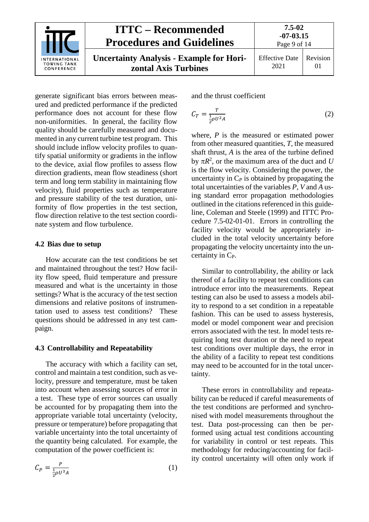|                                                          | <b>ITTC – Recommended</b><br><b>Procedures and Guidelines</b>           | 7.5-02<br>$-07 - 03.15$<br>Page 9 of 14 |          |
|----------------------------------------------------------|-------------------------------------------------------------------------|-----------------------------------------|----------|
| <b>INTERNATIONAL</b><br><b>TOWING TANK</b><br>CONFERENCE | <b>Uncertainty Analysis - Example for Hori-</b><br>zontal Axis Turbines | <b>Effective Date</b><br>2021           | Revision |

generate significant bias errors between measured and predicted performance if the predicted performance does not account for these flow non-uniformities. In general, the facility flow quality should be carefully measured and documented in any current turbine test program. This should include inflow velocity profiles to quantify spatial uniformity or gradients in the inflow to the device, axial flow profiles to assess flow direction gradients, mean flow steadiness (short term and long term stability in maintaining flow velocity), fluid properties such as temperature and pressure stability of the test duration, uniformity of flow properties in the test section, flow direction relative to the test section coordinate system and flow turbulence.

#### **4.2 Bias due to setup**

How accurate can the test conditions be set and maintained throughout the test? How facility flow speed, fluid temperature and pressure measured and what is the uncertainty in those settings? What is the accuracy of the test section dimensions and relative positons of instrumentation used to assess test conditions? These questions should be addressed in any test campaign.

#### **4.3 Controllability and Repeatability**

The accuracy with which a facility can set, control and maintain a test condition, such as velocity, pressure and temperature, must be taken into account when assessing sources of error in a test. These type of error sources can usually be accounted for by propagating them into the appropriate variable total uncertainty (velocity, pressure or temperature) before propagating that variable uncertainty into the total uncertainty of the quantity being calculated. For example, the computation of the power coefficient is:

$$
C_P = \frac{P}{\frac{1}{2}\rho U^3 A} \tag{1}
$$

and the thrust coefficient

$$
C_T = \frac{T}{\frac{1}{2}\rho U^2 A} \tag{2}
$$

where, *P* is the measured or estimated power from other measured quantities, *T*, the measured shaft thrust, *A* is the area of the turbine defined by  $\pi R^2$ , or the maximum area of the duct and *U* is the flow velocity. Considering the power, the uncertainty in  $C_P$  is obtained by propagating the total uncertainties of the variables *P*, *V* and *A* using standard error propagation methodologies outlined in the citations referenced in this guideline, Coleman and Steele (1999) and ITTC Procedure 7.5-02-01-01. Errors in controlling the facility velocity would be appropriately included in the total velocity uncertainty before propagating the velocity uncertainty into the uncertainty in C<sub>P</sub>.

Similar to controllability, the ability or lack thereof of a facility to repeat test conditions can introduce error into the measurements. Repeat testing can also be used to assess a models ability to respond to a set condition in a repeatable fashion. This can be used to assess hysteresis, model or model component wear and precision errors associated with the test. In model tests requiring long test duration or the need to repeat test conditions over multiple days, the error in the ability of a facility to repeat test conditions may need to be accounted for in the total uncertainty.

These errors in controllability and repeatability can be reduced if careful measurements of the test conditions are performed and synchronised with model measurements throughout the test. Data post-processing can then be performed using actual test conditions accounting for variability in control or test repeats. This methodology for reducing/accounting for facility control uncertainty will often only work if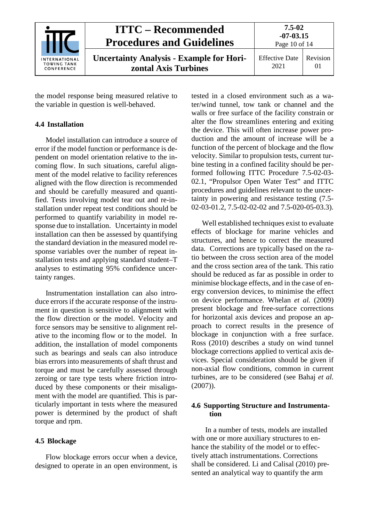| <b>INTERNATIONAL</b><br><b>TOWING TANK</b><br>CONFERENCE | <b>ITTC – Recommended</b><br><b>Procedures and Guidelines</b>           | $7.5 - 02$<br>$-07 - 03.15$<br>Page 10 of 14 |                      |
|----------------------------------------------------------|-------------------------------------------------------------------------|----------------------------------------------|----------------------|
|                                                          | <b>Uncertainty Analysis - Example for Hori-</b><br>zontal Axis Turbines | <b>Effective Date</b><br>2021                | Revision<br>$\Omega$ |

the model response being measured relative to the variable in question is well-behaved.

#### **4.4 Installation**

Model installation can introduce a source of error if the model function or performance is dependent on model orientation relative to the incoming flow. In such situations, careful alignment of the model relative to facility references aligned with the flow direction is recommended and should be carefully measured and quantified. Tests involving model tear out and re-installation under repeat test conditions should be performed to quantify variability in model response due to installation. Uncertainty in model installation can then be assessed by quantifying the standard deviation in the measured model response variables over the number of repeat installation tests and applying standard student–T analyses to estimating 95% confidence uncertainty ranges.

Instrumentation installation can also introduce errors if the accurate response of the instrument in question is sensitive to alignment with the flow direction or the model. Velocity and force sensors may be sensitive to alignment relative to the incoming flow or to the model. In addition, the installation of model components such as bearings and seals can also introduce bias errors into measurements of shaft thrust and torque and must be carefully assessed through zeroing or tare type tests where friction introduced by these components or their misalignment with the model are quantified. This is particularly important in tests where the measured power is determined by the product of shaft torque and rpm.

#### **4.5 Blockage**

Flow blockage errors occur when a device, designed to operate in an open environment, is

tested in a closed environment such as a water/wind tunnel, tow tank or channel and the walls or free surface of the facility constrain or alter the flow streamlines entering and exiting the device. This will often increase power production and the amount of increase will be a function of the percent of blockage and the flow velocity. Similar to propulsion tests, current turbine testing in a confined facility should be performed following ITTC Procedure 7.5-02-03- 02.1, "Propulsor Open Water Test" and ITTC procedures and guidelines relevant to the uncertainty in powering and resistance testing (7.5- 02-03-01.2, 7.5-02-02-02 and 7.5-020-05-03.3).

Well established techniques exist to evaluate effects of blockage for marine vehicles and structures, and hence to correct the measured data. Corrections are typically based on the ratio between the cross section area of the model and the cross section area of the tank. This ratio should be reduced as far as possible in order to minimise blockage effects, and in the case of energy conversion devices, to minimise the effect on device performance. Whelan *et al.* (2009) present blockage and free-surface corrections for horizontal axis devices and propose an approach to correct results in the presence of blockage in conjunction with a free surface. Ross (2010) describes a study on wind tunnel blockage corrections applied to vertical axis devices. Special consideration should be given if non-axial flow conditions, common in current turbines, are to be considered (see Bahaj *et al.*  (2007)).

#### **4.6 Supporting Structure and Instrumentation**

In a number of tests, models are installed with one or more auxiliary structures to enhance the stability of the model or to effectively attach instrumentations. Corrections shall be considered. Li and Calisal (2010) presented an analytical way to quantify the arm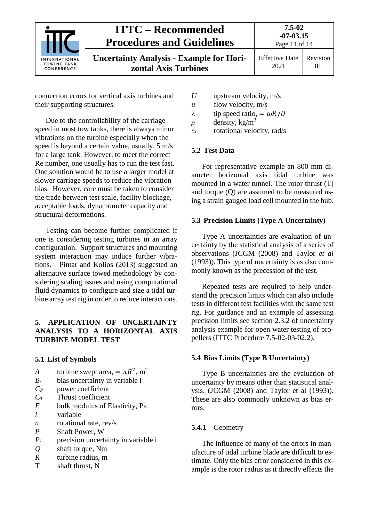|                                                          | <b>ITTC – Recommended</b><br><b>Procedures and Guidelines</b>           | $7.5 - 02$<br>$-07 - 03.15$<br>Page 11 of 14 |    |
|----------------------------------------------------------|-------------------------------------------------------------------------|----------------------------------------------|----|
| <b>INTERNATIONAL</b><br><b>TOWING TANK</b><br>CONFERENCE | <b>Uncertainty Analysis - Example for Hori-</b><br>zontal Axis Turbines | Effective Date   Revision<br>2021            | 01 |

connection errors for vertical axis turbines and their supporting structures.

Due to the controllability of the carriage speed in most tow tanks, there is always minor vibrations on the turbine especially when the speed is beyond a certain value, usually, 5 m/s for a large tank. However, to meet the correct Re number, one usually has to run the test fast. One solution would be to use a larger model at slower carriage speeds to reduce the vibration bias. However, care must be taken to consider the trade between test scale, facility blockage, acceptable loads, dynamometer capacity and structural deformations.

Testing can become further complicated if one is considering testing turbines in an array configuration. Support structures and mounting system interaction may induce further vibrations. Pintar and Kolios (2013) suggested an alternative surface towed methodology by considering scaling issues and using computational fluid dynamics to configure and size a tidal turbine array test rig in order to reduce interactions.

## **5. APPLICATION OF UNCERTAINTY ANALYSIS TO A HORIZONTAL AXIS TURBINE MODEL TEST**

## **5.1 List of Symbols**

- *A* turbine swept area,  $= \pi R^2$ , m<sup>2</sup><br>*B<sub>i</sub>* bias uncertainty in variable i
- bias uncertainty in variable i
- *CP* power coefficient
- *CT* Thrust coefficient
- *E* bulk modulus of Elasticity, Pa
- *i* variable
- *n* rotational rate, rev/s
- *P* Shaft Power, W
- *Pi* precision uncertainty in variable i
- *Q* shaft torque, Nm
- *R* turbine radius, m
- T shaft thrust, N
- *U* upstream velocity, m/s
- *u* flow velocity, m/s
- λ tip speed ratio, =  $ωR/U$ <br>  $ρ$  density, kg/m<sup>3</sup>
- density, kg/m<sup>3</sup>
- *ω* rotational velocity, rad/s

## **5.2 Test Data**

For representative example an 800 mm diameter horizontal axis tidal turbine was mounted in a water tunnel. The rotor thrust (T) and torque (Q) are assumed to be measured using a strain gauged load cell mounted in the hub.

## **5.3 Precision Limits (Type A Uncertainty)**

Type A uncertainties are evaluation of uncertainty by the statistical analysis of a series of observations (JCGM (2008) and Taylor *et al* (1993)). This type of uncertainty is as also commonly known as the precession of the test.

Repeated tests are required to help understand the precision limits which can also include tests in different test facilities with the same test rig. For guidance and an example of assessing precision limits see section 2.3.2 of uncertainty analysis example for open water testing of propellers (ITTC Procedure 7.5-02-03-02.2).

## **5.4 Bias Limits (Type B Uncertainty)**

Type B uncertainties are the evaluation of uncertainty by means other than statistical analysis. (JCGM (2008) and Taylor et al (1993)). These are also commonly unknown as bias errors.

## **5.4.1** Geometry

The influence of many of the errors in manufacture of tidal turbine blade are difficult to estimate. Only the bias error considered in this example is the rotor radius as it directly effects the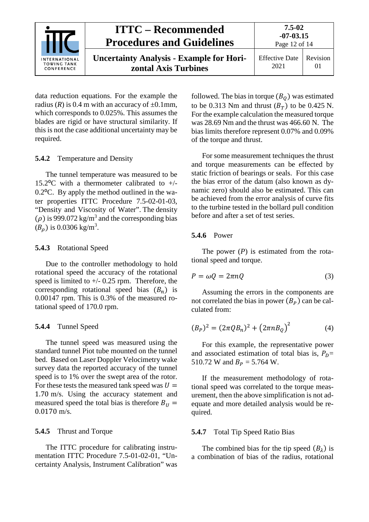|                                                          | <b>ITTC – Recommended</b><br><b>Procedures and Guidelines</b>           | 7.5-02<br>$-07-03.15$<br>Page 12 of 14 |                |
|----------------------------------------------------------|-------------------------------------------------------------------------|----------------------------------------|----------------|
| <b>INTERNATIONAL</b><br><b>TOWING TANK</b><br>CONFERENCE | <b>Uncertainty Analysis - Example for Hori-</b><br>zontal Axis Turbines | <b>Effective Date</b><br>2021          | Revision<br>01 |

data reduction equations. For the example the radius ( $R$ ) is 0.4 m with an accuracy of  $\pm$ 0.1mm, which corresponds to 0.025%. This assumes the blades are rigid or have structural similarity. If this is not the case additional uncertainty may be required.

#### **5.4.2** Temperature and Density

The tunnel temperature was measured to be 15.2 $\rm{^{\circ}C}$  with a thermometer calibrated to +/- $0.2$ <sup>o</sup>C. By apply the method outlined in the water properties ITTC Procedure 7.5-02-01-03, "Density and Viscosity of Water". The density  $(\rho)$  is 999.072 kg/m<sup>3</sup> and the corresponding bias  $(B_{\rho})$  is 0.0306 kg/m<sup>3</sup>.

#### **5.4.3** Rotational Speed

Due to the controller methodology to hold rotational speed the accuracy of the rotational speed is limited to  $+/- 0.25$  rpm. Therefore, the corresponding rotational speed bias  $(B_n)$  is 0.00147 rpm. This is 0.3% of the measured rotational speed of 170.0 rpm.

## **5.4.4** Tunnel Speed

The tunnel speed was measured using the standard tunnel Piot tube mounted on the tunnel bed. Based on Laser Doppler Velocimetry wake survey data the reported accuracy of the tunnel speed is to 1% over the swept area of the rotor. For these tests the measured tank speed was  $U =$ 1.70 m/s. Using the accuracy statement and measured speed the total bias is therefore  $B_{U}$  = 0.0170 m/s.

## **5.4.5** Thrust and Torque

The ITTC procedure for calibrating instrumentation ITTC Procedure 7.5-01-02-01, "Uncertainty Analysis, Instrument Calibration" was followed. The bias in torque  $(B<sub>0</sub>)$  was estimated to be 0.313 Nm and thrust  $(B_T)$  to be 0.425 N. For the example calculation the measured torque was 28.69 Nm and the thrust was 466.60 N. The bias limits therefore represent 0.07% and 0.09% of the torque and thrust.

For some measurement techniques the thrust and torque measurements can be effected by static friction of bearings or seals. For this case the bias error of the datum (also known as dynamic zero) should also be estimated. This can be achieved from the error analysis of curve fits to the turbine tested in the bollard pull condition before and after a set of test series.

#### **5.4.6** Power

The power (*P*) is estimated from the rotational speed and torque.

$$
P = \omega Q = 2\pi nQ \tag{3}
$$

Assuming the errors in the components are not correlated the bias in power  $(B_P)$  can be calculated from:

$$
(B_P)^2 = (2\pi QB_n)^2 + (2\pi nB_Q)^2 \tag{4}
$$

For this example, the representative power and associated estimation of total bias is,  $P_D$ = 510.72 W and  $B_p = 5.764$  W.

If the measurement methodology of rotational speed was correlated to the torque measurement, then the above simplification is not adequate and more detailed analysis would be required.

#### **5.4.7** Total Tip Speed Ratio Bias

The combined bias for the tip speed  $(B_2)$  is a combination of bias of the radius, rotational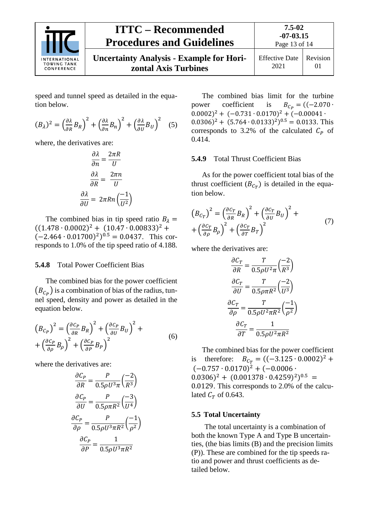

## **ITTC – Recommended Procedures and Guidelines**

**Uncertainty Analysis - Example for Horizontal Axis Turbines**

speed and tunnel speed as detailed in the equation below.

$$
(B_{\lambda})^2 = \left(\frac{\partial \lambda}{\partial R}B_R\right)^2 + \left(\frac{\partial \lambda}{\partial n}B_n\right)^2 + \left(\frac{\partial \lambda}{\partial U}B_U\right)^2 \quad (5)
$$

where, the derivatives are:

$$
\frac{\partial \lambda}{\partial n} = \frac{2\pi R}{U}
$$

$$
\frac{\partial \lambda}{\partial R} = \frac{2\pi n}{U}
$$

$$
\frac{\partial \lambda}{\partial U} = 2\pi R n \left(\frac{-1}{U^2}\right)
$$

The combined bias in tip speed ratio  $B_{\lambda}$  =  $((1.478 \cdot 0.0002)^{2} + (10.47 \cdot 0.00833)^{2} +$  $(-2.464 \cdot 0.01700)^2$ <sup>0.5</sup> = 0.0437. This corresponds to 1.0% of the tip speed ratio of 4.188.

#### **5.4.8** Total Power Coefficient Bias

The combined bias for the power coefficient  $(B_{C_P})$  is a combination of bias of the radius, tunnel speed, density and power as detailed in the equation below.

$$
\left(B_{C_P}\right)^2 = \left(\frac{\partial C_P}{\partial R}B_R\right)^2 + \left(\frac{\partial C_P}{\partial U}B_U\right)^2 + \left(\frac{\partial C_P}{\partial \rho}B_\rho\right)^2 + \left(\frac{\partial C_P}{\partial \rho}B_\rho\right)^2 \tag{6}
$$

where the derivatives are:

$$
\frac{\partial C_P}{\partial R} = \frac{P}{0.5 \rho U^3 \pi} \left(\frac{-2}{R^3}\right)
$$

$$
\frac{\partial C_P}{\partial U} = \frac{P}{0.5 \rho \pi R^2} \left(\frac{-3}{U^4}\right)
$$

$$
\frac{\partial C_P}{\partial \rho} = \frac{P}{0.5 \rho U^3 \pi R^2} \left(\frac{-1}{\rho^2}\right)
$$

$$
\frac{\partial C_P}{\partial P} = \frac{1}{0.5 \rho U^3 \pi R^2}
$$

The combined bias limit for the turbine power coefficient is  $B_{C_P} = ((-2.070 \cdot$  $(0.0002)^2 + (-0.731 \cdot 0.0170)^2 + (-0.00041 \cdot$  $(0.0306)^2 + (5.764 \cdot 0.0133)^2)^{0.5} = 0.0133$ . This corresponds to 3.2% of the calculated  $C_p$  of 0.414.

#### **5.4.9** Total Thrust Coefficient Bias

As for the power coefficient total bias of the thrust coefficient  $(B_{C_T})$  is detailed in the equation below.

$$
\left(B_{C_T}\right)^2 = \left(\frac{\partial c_T}{\partial R}B_R\right)^2 + \left(\frac{\partial c_T}{\partial U}B_U\right)^2 + \left(\frac{\partial c_T}{\partial P}B_\rho\right)^2 + \left(\frac{\partial c_T}{\partial T}B_T\right)^2 \tag{7}
$$

where the derivatives are:

$$
\frac{\partial C_T}{\partial R} = \frac{T}{0.5\rho U^2 \pi} \left(\frac{-2}{R^3}\right)
$$

$$
\frac{\partial C_T}{\partial U} = \frac{T}{0.5\rho \pi R^2} \left(\frac{-2}{U^3}\right)
$$

$$
\frac{\partial C_T}{\partial \rho} = \frac{T}{0.5\rho U^2 \pi R^2} \left(\frac{-1}{\rho^2}\right)
$$

$$
\frac{\partial C_T}{\partial T} = \frac{1}{0.5\rho U^2 \pi R^2}
$$

The combined bias for the power coefficient is therefore:  $B_{C_T} = ((-3.125 \cdot 0.0002)^2 +$  $(-0.757 \cdot 0.0170)^2 + (-0.0006 \cdot$  $(0.0306)^2 + (0.001378 \cdot 0.4259)^2)^{0.5} =$ 0.0129. This corresponds to 2.0% of the calculated  $C_T$  of 0.643.

#### **5.5 Total Uncertainty**

The total uncertainty is a combination of both the known Type A and Type B uncertainties, (the bias limits (B) and the precision limits (P)). These are combined for the tip speeds ratio and power and thrust coefficients as detailed below.